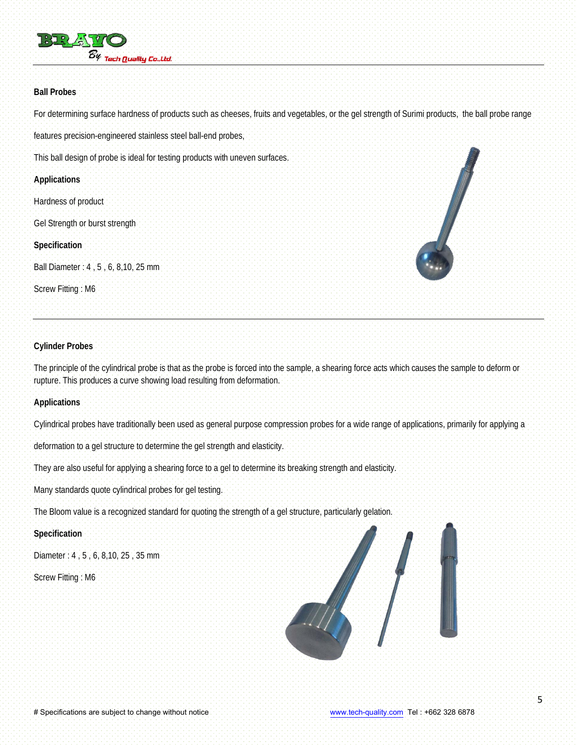

#### **Ball Probes**

For determining surface hardness of products such as cheeses, fruits and vegetables, or the gel strength of Surimi products, the ball probe range features precision-engineered stainless steel ball-end probes,

This ball design of probe is ideal for testing products with uneven surfaces.

### **Applications**

Hardness of product Gel Strength or burst strength

**Specification**

Ball Diameter : 4 , 5 , 6, 8,10, 25 mm Screw Fitting : M6



### **Cylinder Probes**

The principle of the cylindrical probe is that as the probe is forced into the sample, a shearing force acts which causes the sample to deform or rupture. This produces a curve showing load resulting from deformation.

### **Applications**

Cylindrical probes have traditionally been used as general purpose compression probes for a wide range of applications, primarily for applying a

deformation to a gel structure to determine the gel strength and elasticity.

They are also useful for applying a shearing force to a gel to determine its breaking strength and elasticity.

Many standards quote cylindrical probes for gel testing.

The Bloom value is a recognized standard for quoting the strength of a gel structure, particularly gelation.

# **Specification**

Diameter : 4 , 5 , 6, 8,10, 25 , 35 mm

Screw Fitting : M6

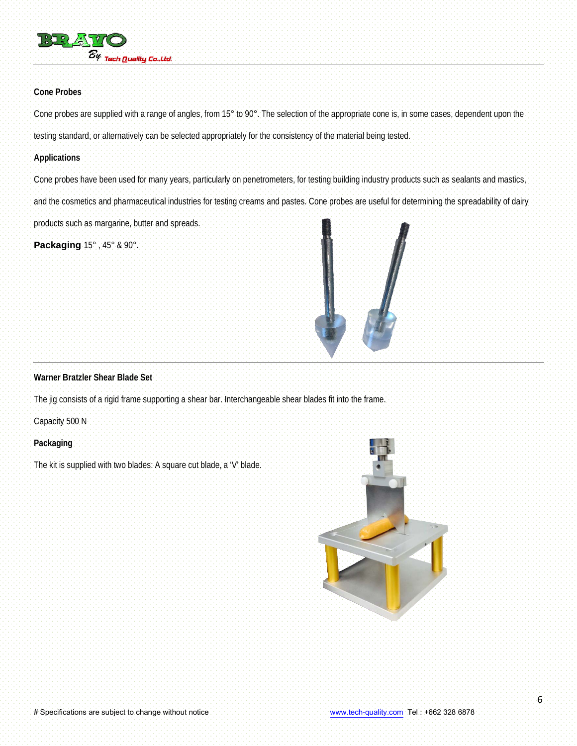

### **Cone Probes**

Cone probes are supplied with a range of angles, from 15° to 90°. The selection of the appropriate cone is, in some cases, dependent upon the testing standard, or alternatively can be selected appropriately for the consistency of the material being tested.

#### **Applications**

Cone probes have been used for many years, particularly on penetrometers, for testing building industry products such as sealants and mastics, and the cosmetics and pharmaceutical industries for testing creams and pastes. Cone probes are useful for determining the spreadability of dairy products such as margarine, butter and spreads.

**Packaging** 15° , 45° & 90°.



### **Warner Bratzler Shear Blade Set**

The jig consists of a rigid frame supporting a shear bar. Interchangeable shear blades fit into the frame.

Capacity 500 N

### **Packaging**

The kit is supplied with two blades: A square cut blade, a 'V' blade.

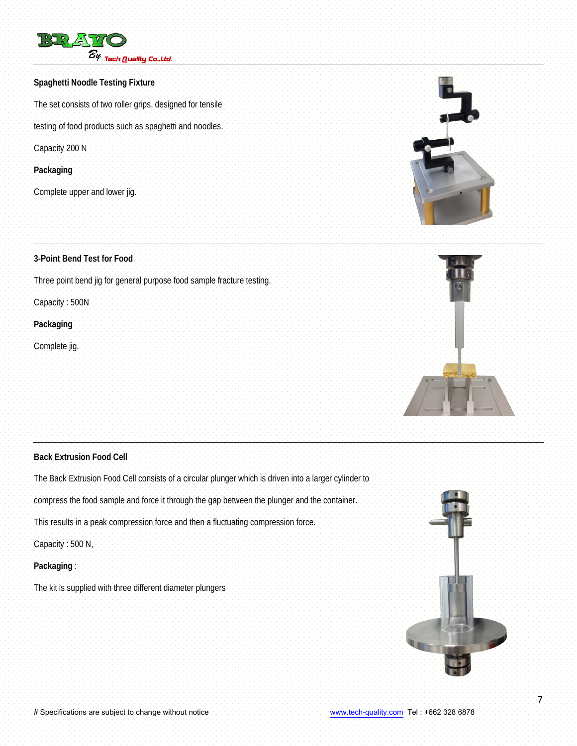

# **Spaghetti Noodle Testing Fixture**

The set consists of two roller grips, designed for tensile

testing of food products such as spaghetti and noodles.

Capacity 200 N

### **Packaging**

Complete upper and lower jig.

# **3-Point Bend Test for Food**

Three point bend jig for general purpose food sample fracture testing.

Capacity : 500N

# **Packaging**

Complete jig.





# **Back Extrusion Food Cell**

The Back Extrusion Food Cell consists of a circular plunger which is driven into a larger cylinder to

compress the food sample and force it through the gap between the plunger and the container.

This results in a peak compression force and then a fluctuating compression force.

Capacity : 500 N,

**Packaging** :

The kit is supplied with three different diameter plungers

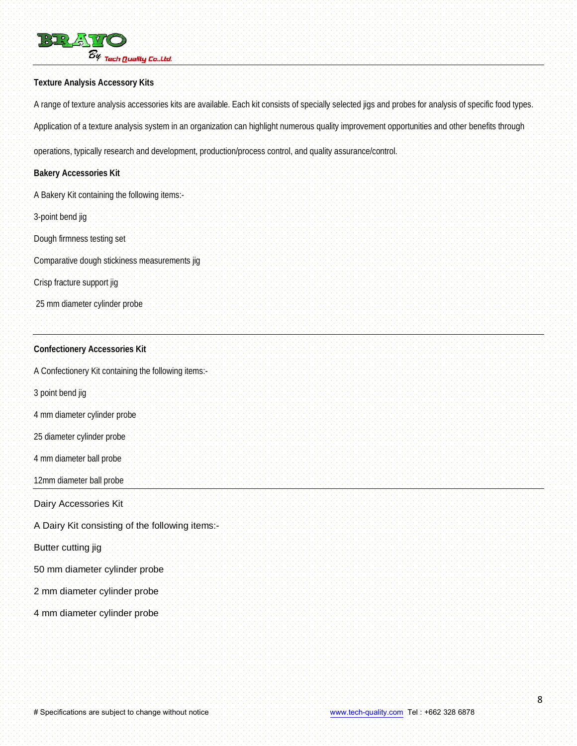

### **Texture Analysis Accessory Kits**

A range of texture analysis accessories kits are available. Each kit consists of specially selected jigs and probes for analysis of specific food types. Application of a texture analysis system in an organization can highlight numerous quality improvement opportunities and other benefits through

operations, typically research and development, production/process control, and quality assurance/control.

# **Bakery Accessories Kit**

- A Bakery Kit containing the following items:-
- 3-point bend jig
- Dough firmness testing set
- Comparative dough stickiness measurements jig
- Crisp fracture support jig
- 25 mm diameter cylinder probe

### **Confectionery Accessories Kit**

A Confectionery Kit containing the following items:-

- 3 point bend jig
- 4 mm diameter cylinder probe
- 25 diameter cylinder probe
- 4 mm diameter ball probe
- 12mm diameter ball probe

Dairy Accessories Kit

- A Dairy Kit consisting of the following items:-
- Butter cutting jig
- 50 mm diameter cylinder probe
- 2 mm diameter cylinder probe
- 4 mm diameter cylinder probe